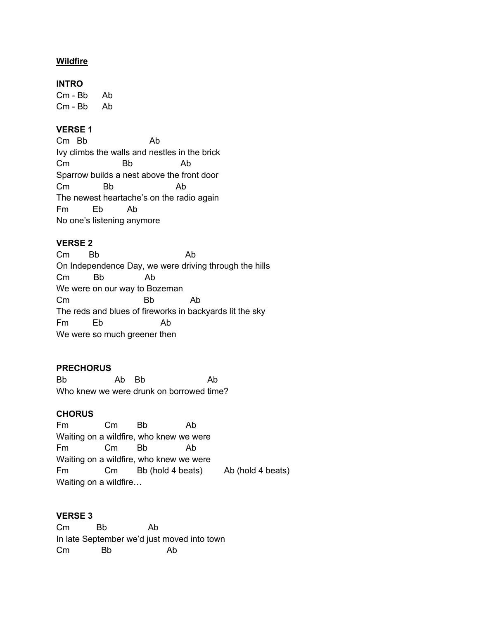## **Wildfire**

#### **INTRO**

Cm - Bb Ab Cm - Bb Ab

## **VERSE 1**

Cm Bb Ab Ivy climbs the walls and nestles in the brick Cm Bb Ab Sparrow builds a nest above the front door Cm Bb Ab The newest heartache's on the radio again Fm Eb Ab No one's listening anymore

## **VERSE 2**

Cm Bb Ab On Independence Day, we were driving through the hills Cm Bb Ab We were on our way to Bozeman Cm Bb Ab The reds and blues of fireworks in backyards lit the sky Fm Eb Ab We were so much greener then

## **PRECHORUS**

Bb Ab Bb Ab Who knew we were drunk on borrowed time?

## **CHORUS**

Fm Cm Bb Ab Waiting on a wildfire, who knew we were Fm Cm Bb Ab Waiting on a wildfire, who knew we were Fm Cm Bb (hold 4 beats) Ab (hold 4 beats) Waiting on a wildfire…

## **VERSE 3**

Cm Bb Ab In late September we'd just moved into town Cm Bb Ab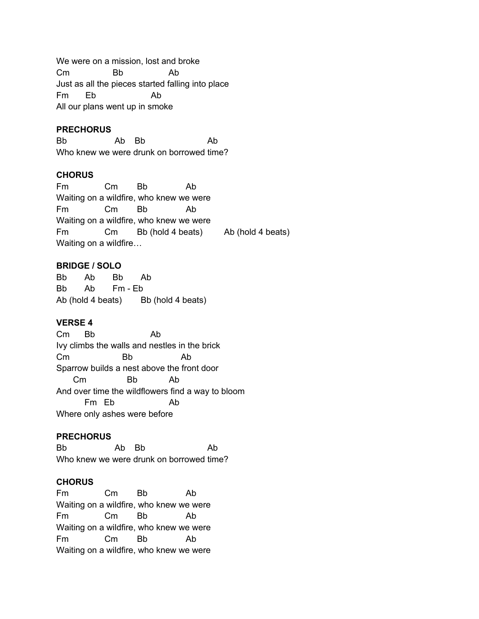We were on a mission, lost and broke Cm Bb Ab Just as all the pieces started falling into place Fm Eb Ab All our plans went up in smoke

#### **PRECHORUS**

Bb Ab Bb Ab Who knew we were drunk on borrowed time?

#### **CHORUS**

Fm Cm Bb Ab Waiting on a wildfire, who knew we were Fm Cm Bb Ab Waiting on a wildfire, who knew we were Fm Cm Bb (hold 4 beats) Ab (hold 4 beats) Waiting on a wildfire…

#### **BRIDGE / SOLO**

Bb Ab Bb Ab Bb Ab Fm - Eb Ab (hold 4 beats) Bb (hold 4 beats)

## **VERSE 4**

Cm Bb Ab Ivy climbs the walls and nestles in the brick Cm Bb Ab Sparrow builds a nest above the front door Cm Bb Ab And over time the wildflowers find a way to bloom Fm Eb Ab Where only ashes were before

#### **PRECHORUS**

Bb Ab Bb Ab Who knew we were drunk on borrowed time?

#### **CHORUS**

Fm Cm Bb Ab Waiting on a wildfire, who knew we were Fm Cm Bb Ab Waiting on a wildfire, who knew we were Fm Cm Bb Ab Waiting on a wildfire, who knew we were